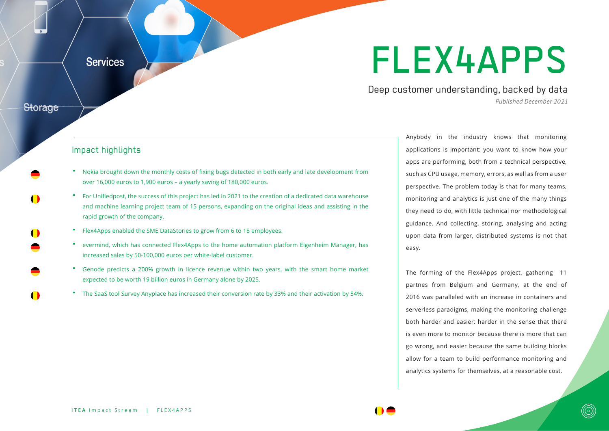## FLEX4APPS

Deep customer understanding, backed by data *Published December 2021*

## Impact highlights

**Services** 

**Storage** 

- " Nokia brought down the monthly costs of fixing bugs detected in both early and late development from over 16,000 euros to 1,900 euros – a yearly saving of 180,000 euros.
- For Unifiedpost, the success of this project has led in 2021 to the creation of a dedicated data warehouse and machine learning project team of 15 persons, expanding on the original ideas and assisting in the rapid growth of the company.
- Flex4Apps enabled the SME DataStories to grow from 6 to 18 employees.
- evermind, which has connected Flex4Apps to the home automation platform Eigenheim Manager, has increased sales by 50-100,000 euros per white-label customer.
- Genode predicts a 200% growth in licence revenue within two years, with the smart home market expected to be worth 19 billion euros in Germany alone by 2025.
- The SaaS tool Survey Anyplace has increased their conversion rate by 33% and their activation by 54%.

Anybody in the industry knows that monitoring applications is important: you want to know how your apps are performing, both from a technical perspective, such as CPU usage, memory, errors, as well as from a user perspective. The problem today is that for many teams, monitoring and analytics is just one of the many things they need to do, with little technical nor methodological guidance. And collecting, storing, analysing and acting upon data from larger, distributed systems is not that easy.

The forming of the Flex4Apps project, gathering 11 partnes from Belgium and Germany, at the end of 2016 was paralleled with an increase in containers and serverless paradigms, making the monitoring challenge both harder and easier: harder in the sense that there is even more to monitor because there is more that can go wrong, and easier because the same building blocks allow for a team to build performance monitoring and analytics systems for themselves, at a reasonable cost.